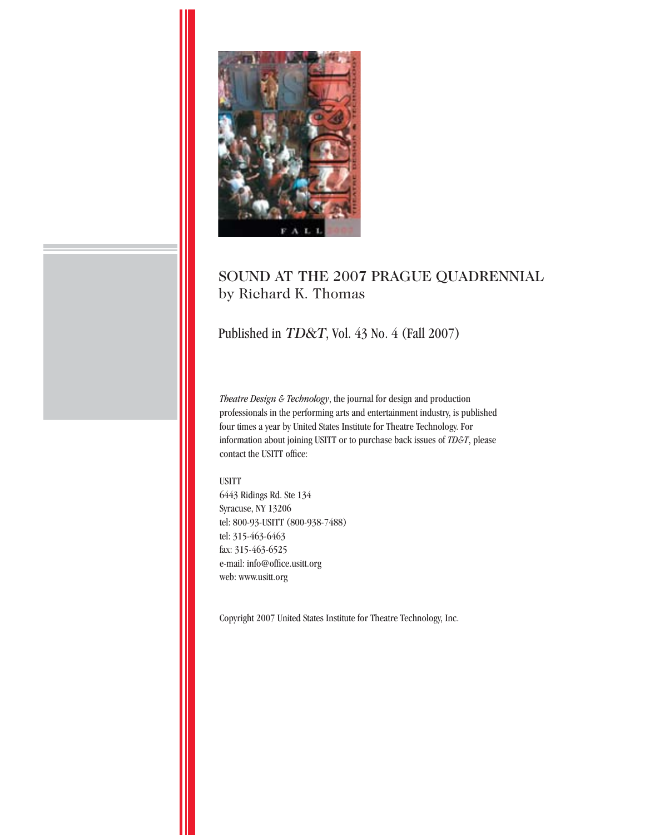

## SOUND AT THE 2007 PRAGUE QUADRENNIAL by Richard K. Thomas

### Published in *TD&T*, Vol. 43 No. 4 (Fall 2007)

*Theatre Design & Technology*, the journal for design and production professionals in the performing arts and entertainment industry, is published four times a year by United States Institute for Theatre Technology. For information about joining USITT or to purchase back issues of *TD&T*, please contact the USITT office:

#### USITT

6443 Ridings Rd. Ste 134 Syracuse, NY 13206 tel: 800-93-USITT (800-938-7488) tel: 315-463-6463 fax: 315-463-6525 e-mail: info@office.usitt.org web: www.usitt.org

Copyright 2007 United States Institute for Theatre Technology, Inc.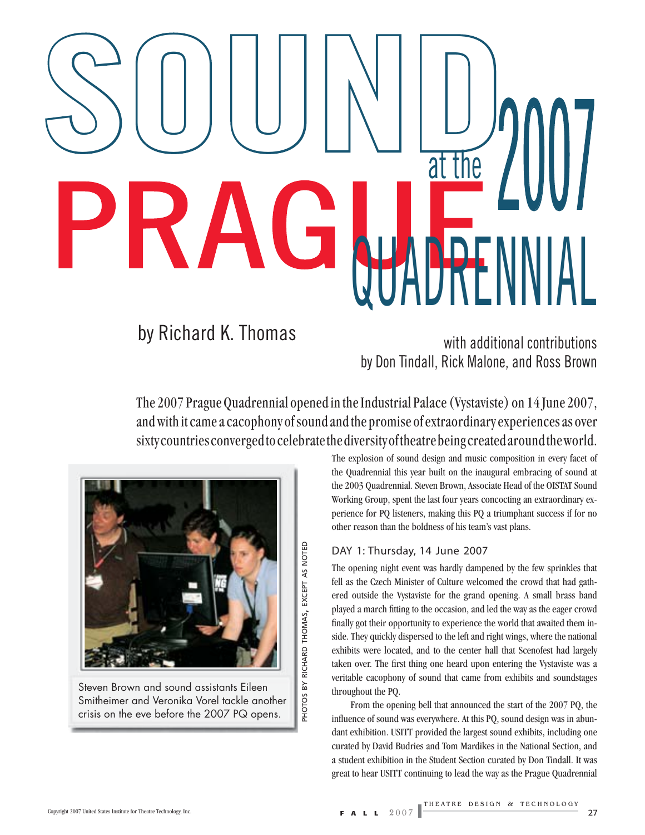# SOUND at the PRAGUE<sup>TTHE</sup>

# by Richard K. Thomas

by Don Tindall, Rick Malone, and Ross Brown

The 2007 Prague Quadrennial opened in the Industrial Palace (Vystaviste) on 14 June 2007, and with it came a cacophony of sound and the promise of extraordinary experiences as over sixty countries converged to celebrate the diversity of theatre being created around the world.

> PHOTOS BY RICHARD THOMAS, EXCEPT AS NOTED PHOTOS BY RICHARD THOMAS, EXCEPT AS NOTED



Steven Brown and sound assistants Eileen Smitheimer and Veronika Vorel tackle another crisis on the eve before the 2007 PQ opens.

The explosion of sound design and music composition in every facet of the Quadrennial this year built on the inaugural embracing of sound at the 2003 Quadrennial. Steven Brown, Associate Head of the OISTAT Sound Working Group, spent the last four years concocting an extraordinary experience for PQ listeners, making this PQ a triumphant success if for no other reason than the boldness of his team's vast plans.

#### DAY 1: Thursday, 14 June 2007

The opening night event was hardly dampened by the few sprinkles that fell as the Czech Minister of Culture welcomed the crowd that had gathered outside the Vystaviste for the grand opening. A small brass band played a march fitting to the occasion, and led the way as the eager crowd finally got their opportunity to experience the world that awaited them inside. They quickly dispersed to the left and right wings, where the national exhibits were located, and to the center hall that Scenofest had largely taken over. The first thing one heard upon entering the Vystaviste was a veritable cacophony of sound that came from exhibits and soundstages throughout the PQ.

From the opening bell that announced the start of the 2007 PQ, the influence of sound was everywhere. At this PQ, sound design was in abundant exhibition. USITT provided the largest sound exhibits, including one curated by David Budries and Tom Mardikes in the National Section, and a student exhibition in the Student Section curated by Don Tindall. It was great to hear USITT continuing to lead the way as the Prague Quadrennial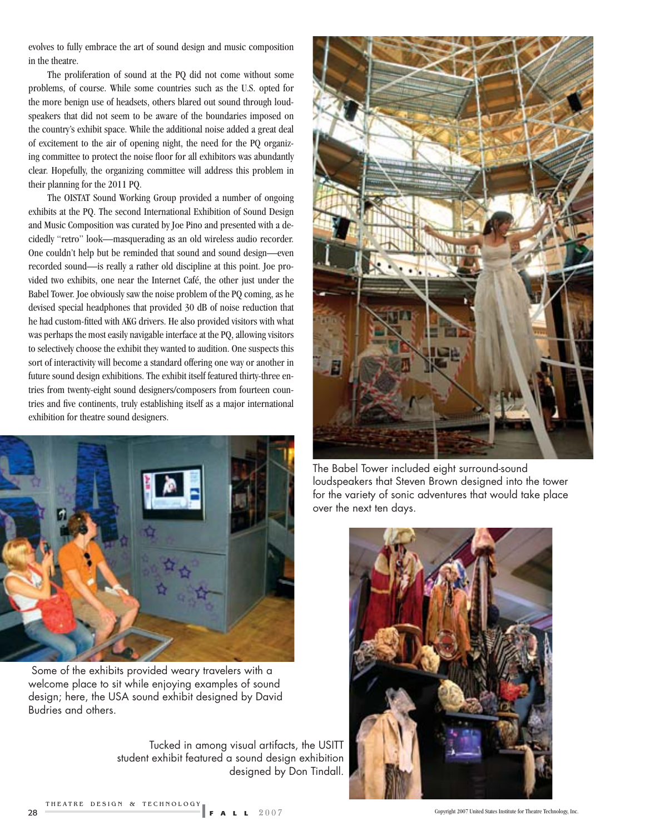evolves to fully embrace the art of sound design and music composition in the theatre.

The proliferation of sound at the PQ did not come without some problems, of course. While some countries such as the U.S. opted for the more benign use of headsets, others blared out sound through loudspeakers that did not seem to be aware of the boundaries imposed on the country's exhibit space. While the additional noise added a great deal of excitement to the air of opening night, the need for the PQ organizing committee to protect the noise floor for all exhibitors was abundantly clear. Hopefully, the organizing committee will address this problem in their planning for the 2011 PQ.

The OISTAT Sound Working Group provided a number of ongoing exhibits at the PQ. The second International Exhibition of Sound Design and Music Composition was curated by Joe Pino and presented with a decidedly "retro" look—masquerading as an old wireless audio recorder. One couldn't help but be reminded that sound and sound design—even recorded sound—is really a rather old discipline at this point. Joe provided two exhibits, one near the Internet Café, the other just under the Babel Tower. Joe obviously saw the noise problem of the PQ coming, as he devised special headphones that provided 30 dB of noise reduction that he had custom-fitted with AKG drivers. He also provided visitors with what was perhaps the most easily navigable interface at the PQ, allowing visitors to selectively choose the exhibit they wanted to audition. One suspects this sort of interactivity will become a standard offering one way or another in future sound design exhibitions. The exhibit itself featured thirty-three entries from twenty-eight sound designers/composers from fourteen countries and five continents, truly establishing itself as a major international exhibition for theatre sound designers.



 Some of the exhibits provided weary travelers with a welcome place to sit while enjoying examples of sound design; here, the USA sound exhibit designed by David Budries and others.

Tucked in among visual artifacts, the USITT student exhibit featured a sound design exhibition designed by Don Tindall.



The Babel Tower included eight surround-sound loudspeakers that Steven Brown designed into the tower for the variety of sonic adventures that would take place over the next ten days.





THEATRE DESIGN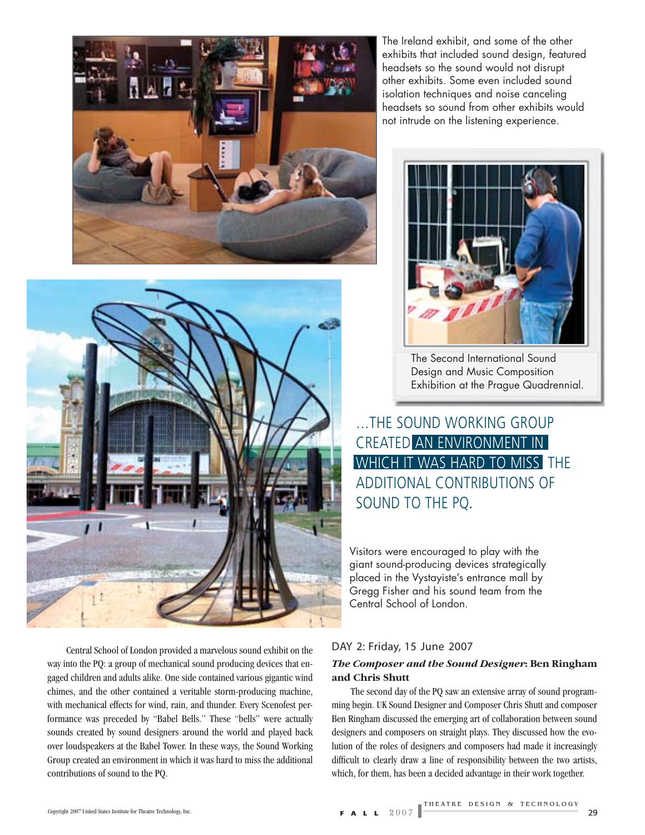

The Ireland exhibit, and some of the other exhibits that included sound design, featured headsets so the sound would not disrupt other exhibits. Some even included sound isolation techniques and noise canceling headsets so sound from other exhibits would not intrude on the listening experience.



The Second International Sound Design and Music Composition Exhibition at the Prague Quadrennial.

…THE SOUND WORKING GROUP CREATED AN ENVIRONMENT IN WHICH IT WAS HARD TO MISS THE ADDITIONAL CONTRIBUTIONS OF SOUND TO THE PQ.

Visitors were encouraged to play with the giant sound-producing devices strategically placed in the Vystayiste's entrance mall by Gregg Fisher and his sound team from the Central School of London.

Central School of London provided a marvelous sound exhibit on the way into the PQ: a group of mechanical sound producing devices that engaged children and adults alike. One side contained various gigantic wind chimes, and the other contained a veritable storm-producing machine, with mechanical effects for wind, rain, and thunder. Every Scenofest performance was preceded by "Babel Bells." These "bells" were actually sounds created by sound designers around the world and played back over loudspeakers at the Babel Tower. In these ways, the Sound Working Group created an environment in which it was hard to miss the additional contributions of sound to the PQ.

#### DAY 2: Friday, 15 June 2007

#### *The Composer and the Sound Designer***: Ben Ringham and Chris Shutt**

The second day of the PQ saw an extensive array of sound programming begin. UK Sound Designer and Composer Chris Shutt and composer Ben Ringham discussed the emerging art of collaboration between sound designers and composers on straight plays. They discussed how the evolution of the roles of designers and composers had made it increasingly difficult to clearly draw a line of responsibility between the two artists, which, for them, has been a decided advantage in their work together.

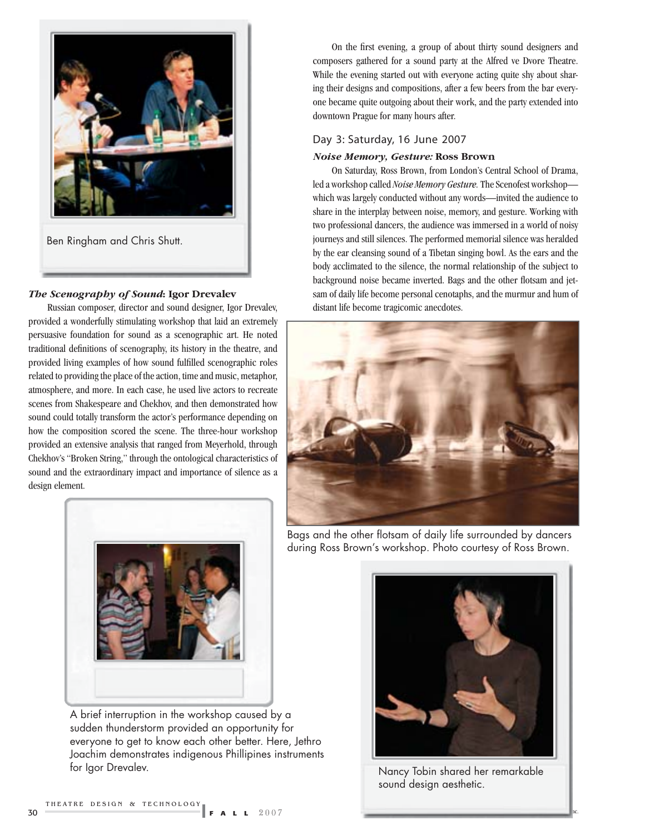

#### *The Scenography of Sound***: Igor Drevalev**

Russian composer, director and sound designer, Igor Drevalev, provided a wonderfully stimulating workshop that laid an extremely persuasive foundation for sound as a scenographic art. He noted traditional definitions of scenography, its history in the theatre, and provided living examples of how sound fulfilled scenographic roles related to providing the place of the action, time and music, metaphor, atmosphere, and more. In each case, he used live actors to recreate scenes from Shakespeare and Chekhov, and then demonstrated how sound could totally transform the actor's performance depending on how the composition scored the scene. The three-hour workshop provided an extensive analysis that ranged from Meyerhold, through Chekhov's "Broken String," through the ontological characteristics of sound and the extraordinary impact and importance of silence as a design element.



A brief interruption in the workshop caused by a sudden thunderstorm provided an opportunity for everyone to get to know each other better. Here, Jethro Joachim demonstrates indigenous Phillipines instruments for Igor Drevalev.

On the first evening, a group of about thirty sound designers and composers gathered for a sound party at the Alfred ve Dvore Theatre. While the evening started out with everyone acting quite shy about sharing their designs and compositions, after a few beers from the bar everyone became quite outgoing about their work, and the party extended into downtown Prague for many hours after.

#### Day 3: Saturday, 16 June 2007

#### *Noise Memory, Gesture:* **Ross Brown**

On Saturday, Ross Brown, from London's Central School of Drama, led a workshop called *Noise Memory Gesture.* The Scenofest workshop which was largely conducted without any words—invited the audience to share in the interplay between noise, memory, and gesture. Working with two professional dancers, the audience was immersed in a world of noisy journeys and still silences. The performed memorial silence was heralded by the ear cleansing sound of a Tibetan singing bowl. As the ears and the body acclimated to the silence, the normal relationship of the subject to background noise became inverted. Bags and the other flotsam and jetsam of daily life become personal cenotaphs, and the murmur and hum of distant life become tragicomic anecdotes.



Bags and the other flotsam of daily life surrounded by dancers during Ross Brown's workshop. Photo courtesy of Ross Brown.



Nancy Tobin shared her remarkable sound design aesthetic.

Copyright 2007 United States Institute for Theatre Technology, Inc.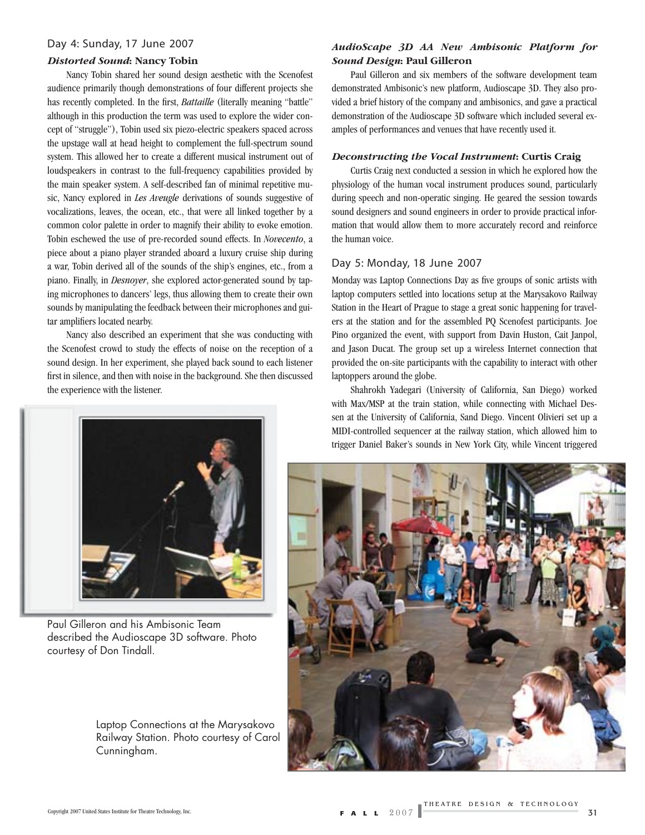#### Day 4: Sunday, 17 June 2007

#### *Distorted Sound***: Nancy Tobin**

Nancy Tobin shared her sound design aesthetic with the Scenofest audience primarily though demonstrations of four different projects she has recently completed. In the first, *Battaille* (literally meaning "battle" although in this production the term was used to explore the wider concept of "struggle"), Tobin used six piezo-electric speakers spaced across the upstage wall at head height to complement the full-spectrum sound system. This allowed her to create a different musical instrument out of loudspeakers in contrast to the full-frequency capabilities provided by the main speaker system. A self-described fan of minimal repetitive music, Nancy explored in *Les Aveugle* derivations of sounds suggestive of vocalizations, leaves, the ocean, etc., that were all linked together by a common color palette in order to magnify their ability to evoke emotion. Tobin eschewed the use of pre-recorded sound effects. In *Novecento*, a piece about a piano player stranded aboard a luxury cruise ship during a war, Tobin derived all of the sounds of the ship's engines, etc., from a piano. Finally, in *Desnoyer*, she explored actor-generated sound by taping microphones to dancers' legs, thus allowing them to create their own sounds by manipulating the feedback between their microphones and guitar amplifiers located nearby.

Nancy also described an experiment that she was conducting with the Scenofest crowd to study the effects of noise on the reception of a sound design. In her experiment, she played back sound to each listener first in silence, and then with noise in the background. She then discussed the experience with the listener.

#### *AudioScape 3D AA New Ambisonic Platform for Sound Design***: Paul Gilleron**

Paul Gilleron and six members of the software development team demonstrated Ambisonic's new platform, Audioscape 3D. They also provided a brief history of the company and ambisonics, and gave a practical demonstration of the Audioscape 3D software which included several examples of performances and venues that have recently used it.

#### *Deconstructing the Vocal Instrument***: Curtis Craig**

Curtis Craig next conducted a session in which he explored how the physiology of the human vocal instrument produces sound, particularly during speech and non-operatic singing. He geared the session towards sound designers and sound engineers in order to provide practical information that would allow them to more accurately record and reinforce the human voice.

#### Day 5: Monday, 18 June 2007

Monday was Laptop Connections Day as five groups of sonic artists with laptop computers settled into locations setup at the Marysakovo Railway Station in the Heart of Prague to stage a great sonic happening for travelers at the station and for the assembled PQ Scenofest participants. Joe Pino organized the event, with support from Davin Huston, Cait Janpol, and Jason Ducat. The group set up a wireless Internet connection that provided the on-site participants with the capability to interact with other laptoppers around the globe.

Shahrokh Yadegari (University of California, San Diego) worked with Max/MSP at the train station, while connecting with Michael Dessen at the University of California, Sand Diego. Vincent Olivieri set up a MIDI-controlled sequencer at the railway station, which allowed him to trigger Daniel Baker's sounds in New York City, while Vincent triggered





Paul Gilleron and his Ambisonic Team described the Audioscape 3D software. Photo courtesy of Don Tindall.

Laptop Connections at the Marysakovo Railway Station. Photo courtesy of Carol Cunningham.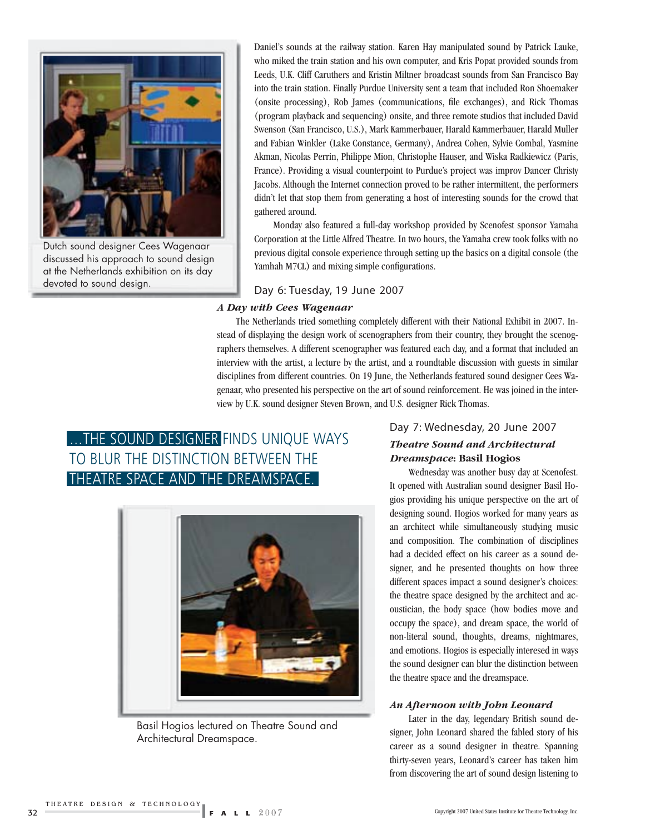

Dutch sound designer Cees Wagenaar discussed his approach to sound design at the Netherlands exhibition on its day devoted to sound design.

Daniel's sounds at the railway station. Karen Hay manipulated sound by Patrick Lauke, who miked the train station and his own computer, and Kris Popat provided sounds from Leeds, U.K. Cliff Caruthers and Kristin Miltner broadcast sounds from San Francisco Bay into the train station. Finally Purdue University sent a team that included Ron Shoemaker (onsite processing), Rob James (communications, file exchanges), and Rick Thomas (program playback and sequencing) onsite, and three remote studios that included David Swenson (San Francisco, U.S.), Mark Kammerbauer, Harald Kammerbauer, Harald Muller and Fabian Winkler (Lake Constance, Germany), Andrea Cohen, Sylvie Combal, Yasmine Akman, Nicolas Perrin, Philippe Mion, Christophe Hauser, and Wiska Radkiewicz (Paris, France). Providing a visual counterpoint to Purdue's project was improv Dancer Christy Jacobs. Although the Internet connection proved to be rather intermittent, the performers didn't let that stop them from generating a host of interesting sounds for the crowd that gathered around.

Monday also featured a full-day workshop provided by Scenofest sponsor Yamaha Corporation at the Little Alfred Theatre. In two hours, the Yamaha crew took folks with no previous digital console experience through setting up the basics on a digital console (the Yamhah M7CL) and mixing simple configurations.

Day 6: Tuesday, 19 June 2007

#### *A Day with Cees Wagenaar*

The Netherlands tried something completely different with their National Exhibit in 2007. Instead of displaying the design work of scenographers from their country, they brought the scenographers themselves. A different scenographer was featured each day, and a format that included an interview with the artist, a lecture by the artist, and a roundtable discussion with guests in similar disciplines from different countries. On 19 June, the Netherlands featured sound designer Cees Wagenaar, who presented his perspective on the art of sound reinforcement. He was joined in the interview by U.K. sound designer Steven Brown, and U.S. designer Rick Thomas.

# ... THE SOUND DESIGNER FINDS UNIQUE WAYS TO BLUR THE DISTINCTION BETWEEN THE THEATRE SPACE AND THE DREAMSPACE.



Basil Hogios lectured on Theatre Sound and Architectural Dreamspace.

#### Day 7: Wednesday, 20 June 2007

#### *Theatre Sound and Architectural Dreamspace***: Basil Hogios**

Wednesday was another busy day at Scenofest. It opened with Australian sound designer Basil Hogios providing his unique perspective on the art of designing sound. Hogios worked for many years as an architect while simultaneously studying music and composition. The combination of disciplines had a decided effect on his career as a sound designer, and he presented thoughts on how three different spaces impact a sound designer's choices: the theatre space designed by the architect and acoustician, the body space (how bodies move and occupy the space), and dream space, the world of non-literal sound, thoughts, dreams, nightmares, and emotions. Hogios is especially interesed in ways the sound designer can blur the distinction between the theatre space and the dreamspace.

#### *An Afternoon with John Leonard*

Later in the day, legendary British sound designer, John Leonard shared the fabled story of his career as a sound designer in theatre. Spanning thirty-seven years, Leonard's career has taken him from discovering the art of sound design listening to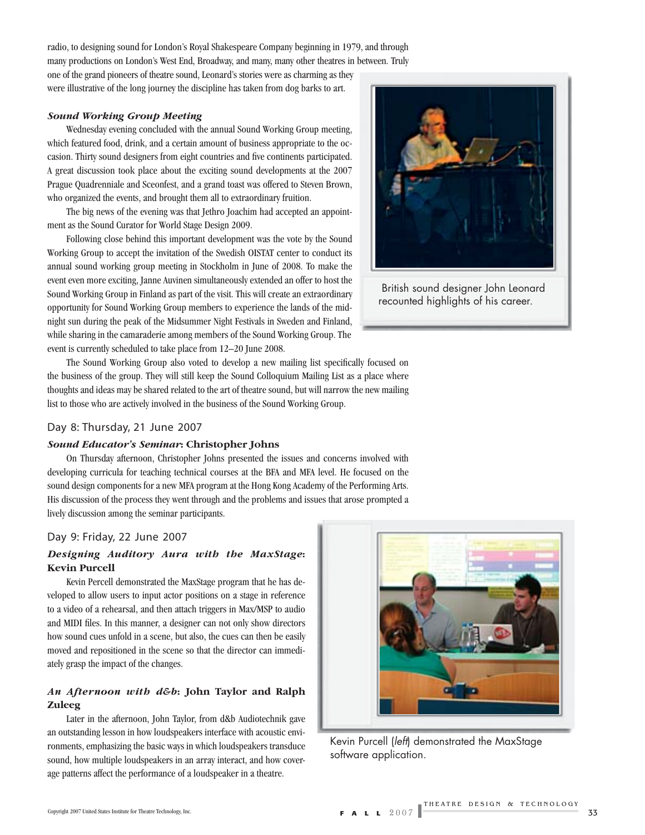radio, to designing sound for London's Royal Shakespeare Company beginning in 1979, and through many productions on London's West End, Broadway, and many, many other theatres in between. Truly

one of the grand pioneers of theatre sound, Leonard's stories were as charming as they were illustrative of the long journey the discipline has taken from dog barks to art.

#### *Sound Working Group Meeting*

Wednesday evening concluded with the annual Sound Working Group meeting, which featured food, drink, and a certain amount of business appropriate to the occasion. Thirty sound designers from eight countries and five continents participated. A great discussion took place about the exciting sound developments at the 2007 Prague Quadrenniale and Sceonfest, and a grand toast was offered to Steven Brown, who organized the events, and brought them all to extraordinary fruition.

The big news of the evening was that Jethro Joachim had accepted an appointment as the Sound Curator for World Stage Design 2009.

Following close behind this important development was the vote by the Sound Working Group to accept the invitation of the Swedish OISTAT center to conduct its annual sound working group meeting in Stockholm in June of 2008. To make the event even more exciting, Janne Auvinen simultaneously extended an offer to host the Sound Working Group in Finland as part of the visit. This will create an extraordinary opportunity for Sound Working Group members to experience the lands of the midnight sun during the peak of the Midsummer Night Festivals in Sweden and Finland, while sharing in the camaraderie among members of the Sound Working Group. The event is currently scheduled to take place from 12–20 June 2008.



 British sound designer John Leonard recounted highlights of his career.

The Sound Working Group also voted to develop a new mailing list specifically focused on the business of the group. They will still keep the Sound Colloquium Mailing List as a place where thoughts and ideas may be shared related to the art of theatre sound, but will narrow the new mailing list to those who are actively involved in the business of the Sound Working Group.

#### Day 8: Thursday, 21 June 2007

#### *Sound Educator's Seminar***: Christopher Johns**

On Thursday afternoon, Christopher Johns presented the issues and concerns involved with developing curricula for teaching technical courses at the BFA and MFA level. He focused on the sound design components for a new MFA program at the Hong Kong Academy of the Performing Arts. His discussion of the process they went through and the problems and issues that arose prompted a lively discussion among the seminar participants.

#### Day 9: Friday, 22 June 2007

#### *Designing Auditory Aura with the MaxStage***: Kevin Purcell**

Kevin Percell demonstrated the MaxStage program that he has developed to allow users to input actor positions on a stage in reference to a video of a rehearsal, and then attach triggers in Max/MSP to audio and MIDI files. In this manner, a designer can not only show directors how sound cues unfold in a scene, but also, the cues can then be easily moved and repositioned in the scene so that the director can immediately grasp the impact of the changes.

#### *An Afternoon with d&b***: John Taylor and Ralph Zuleeg**

Later in the afternoon, John Taylor, from d&b Audiotechnik gave an outstanding lesson in how loudspeakers interface with acoustic environments, emphasizing the basic ways in which loudspeakers transduce sound, how multiple loudspeakers in an array interact, and how coverage patterns affect the performance of a loudspeaker in a theatre.



Kevin Purcell (*left*) demonstrated the MaxStage software application.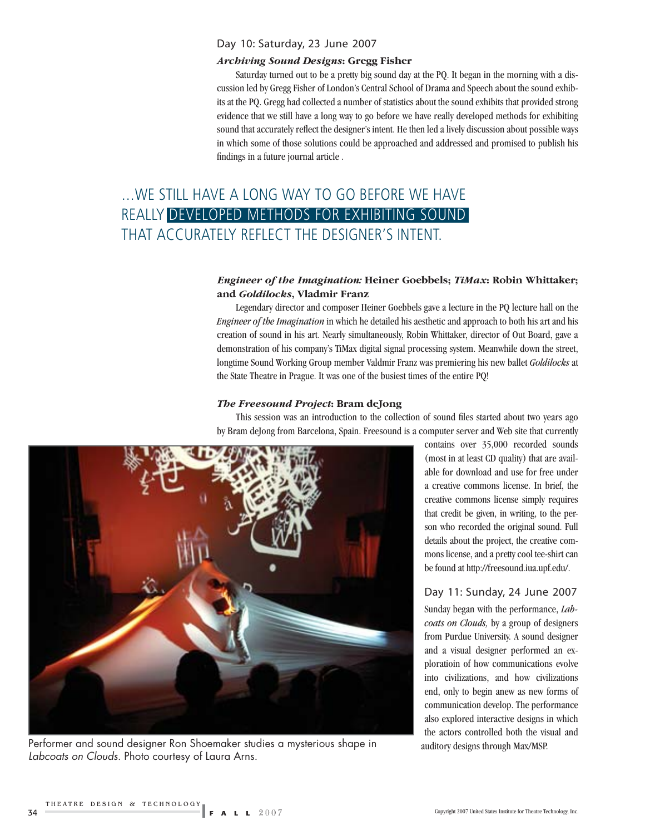#### Day 10: Saturday, 23 June 2007

#### *Archiving Sound Designs***: Gregg Fisher**

Saturday turned out to be a pretty big sound day at the PQ. It began in the morning with a discussion led by Gregg Fisher of London's Central School of Drama and Speech about the sound exhibits at the PQ. Gregg had collected a number of statistics about the sound exhibits that provided strong evidence that we still have a long way to go before we have really developed methods for exhibiting sound that accurately reflect the designer's intent. He then led a lively discussion about possible ways in which some of those solutions could be approached and addressed and promised to publish his findings in a future journal article.

# …WE STILL HAVE A LONG WAY TO GO BEFORE WE HAVE REALLY DEVELOPED METHODS FOR EXHIBITING SOUND THAT ACCURATELY REFLECT THE DESIGNER'S INTENT.

#### *Engineer of the Imagination:* **Heiner Goebbels;** *TiMax***: Robin Whittaker; and** *Goldilocks***, Vladmir Franz**

Legendary director and composer Heiner Goebbels gave a lecture in the PQ lecture hall on the *Engineer of the Imagination* in which he detailed his aesthetic and approach to both his art and his creation of sound in his art. Nearly simultaneously, Robin Whittaker, director of Out Board, gave a demonstration of his company's TiMax digital signal processing system. Meanwhile down the street, longtime Sound Working Group member Valdmir Franz was premiering his new ballet *Goldilocks* at the State Theatre in Prague. It was one of the busiest times of the entire PQ!

#### *The Freesound Project***: Bram deJong**

This session was an introduction to the collection of sound files started about two years ago by Bram deJong from Barcelona, Spain. Freesound is a computer server and Web site that currently



Performer and sound designer Ron Shoemaker studies a mysterious shape in *Labcoats on Clouds*. Photo courtesy of Laura Arns.

contains over 35,000 recorded sounds (most in at least CD quality) that are available for download and use for free under a creative commons license. In brief, the creative commons license simply requires that credit be given, in writing, to the person who recorded the original sound. Full details about the project, the creative commons license, and a pretty cool tee-shirt can be found at http://freesound.iua.upf.edu/.

#### Day 11: Sunday, 24 June 2007

Sunday began with the performance, *Labcoats on Clouds,* by a group of designers from Purdue University. A sound designer and a visual designer performed an exploratioin of how communications evolve into civilizations, and how civilizations end, only to begin anew as new forms of communication develop. The performance also explored interactive designs in which the actors controlled both the visual and auditory designs through Max/MSP.

Copyright 2007 United States Institute for Theatre Technology, Inc.